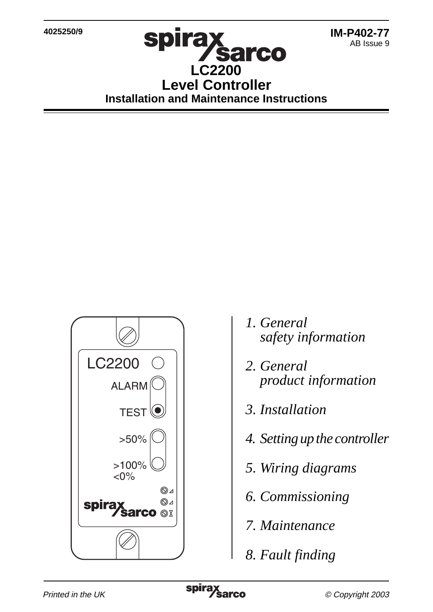## **spirax Sarco LC2200 Level Controller Installation and Maintenance Instructions**



- *1. General safety information*
- *2. General product information*
- *3. Installation*
- *4. Setting up the controller*
- *5. Wiring diagrams*
- *6. Commissioning*
- *7. Maintenance*
- *8. Fault finding*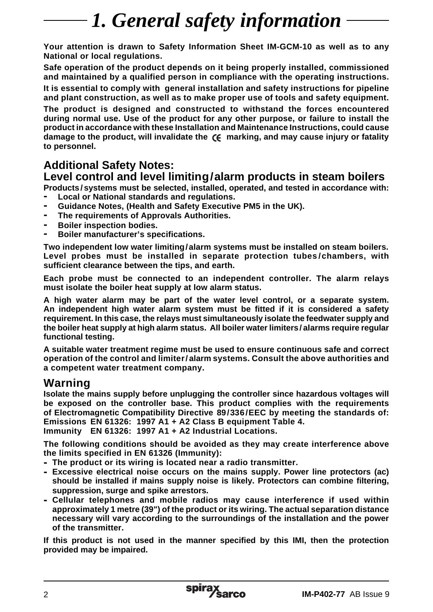# *1. General safety information*

**Your attention is drawn to Safety Information Sheet IM-GCM-10 as well as to any National or local regulations.**

**Safe operation of the product depends on it being properly installed, commissioned and maintained by a qualified person in compliance with the operating instructions.**

**It is essential to comply with general installation and safety instructions for pipeline and plant construction, as well as to make proper use of tools and safety equipment. The product is designed and constructed to withstand the forces encountered during normal use. Use of the product for any other purpose, or failure to install the product in accordance with these Installation and Maintenance Instructions, could cause** damage to the product, will invalidate the  $\zeta \epsilon$  marking, and may cause injury or fatality **to personnel.**

### **Additional Safety Notes:**

### **Level control and level limiting/alarm products in steam boilers**

**Products/ systems must be selected, installed, operated, and tested in accordance with: - Local or National standards and regulations.**

- **- Guidance Notes, (Health and Safety Executive PM5 in the UK).**
- **- The requirements of Approvals Authorities.**
- **- Boiler inspection bodies.**
- **- Boiler manufacturer's specifications.**

**Two independent low water limiting/alarm systems must be installed on steam boilers. Level probes must be installed in separate protection tubes/chambers, with sufficient clearance between the tips, and earth.**

**Each probe must be connected to an independent controller. The alarm relays must isolate the boiler heat supply at low alarm status.**

**A high water alarm may be part of the water level control, or a separate system. An independent high water alarm system must be fitted if it is considered a safety requirement. In this case, the relays must simultaneously isolate the feedwater supply and the boiler heat supply at high alarm status. All boiler water limiters/ alarms require regular functional testing.**

**A suitable water treatment regime must be used to ensure continuous safe and correct operation of the control and limiter/ alarm systems. Consult the above authorities and a competent water treatment company.**

### **Warning**

**Isolate the mains supply before unplugging the controller since hazardous voltages will be exposed on the controller base. This product complies with the requirements of Electromagnetic Compatibility Directive 89/336/EEC by meeting the standards of: Emissions EN 61326: 1997 A1 + A2 Class B equipment Table 4. Immunity EN 61326: 1997 A1 + A2 Industrial Locations.**

**The following conditions should be avoided as they may create interference above**

**the limits specified in EN 61326 (Immunity):**

- **- The product or its wiring is located near a radio transmitter.**
- **- Excessive electrical noise occurs on the mains supply. Power line protectors (ac) should be installed if mains supply noise is likely. Protectors can combine filtering, suppression, surge and spike arrestors.**
- **- Cellular telephones and mobile radios may cause interference if used within approximately 1 metre (39") of the product or its wiring. The actual separation distance necessary will vary according to the surroundings of the installation and the power of the transmitter.**

**If this product is not used in the manner specified by this IMI, then the protection provided may be impaired.**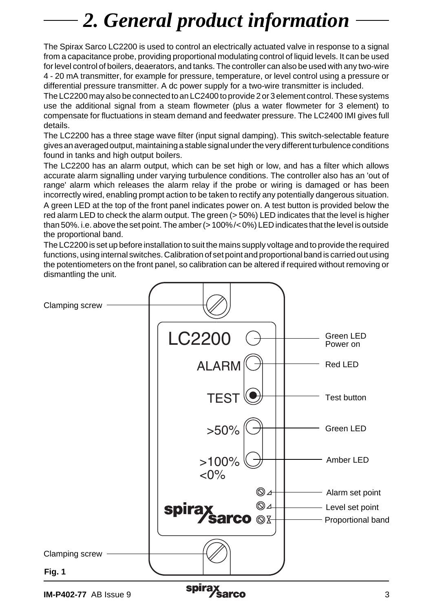# *2. General product information*

The Spirax Sarco LC2200 is used to control an electrically actuated valve in response to a signal from a capacitance probe, providing proportional modulating control of liquid levels. It can be used for level control of boilers, deaerators, and tanks. The controller can also be used with any two-wire 4 - 20 mA transmitter, for example for pressure, temperature, or level control using a pressure or differential pressure transmitter. A dc power supply for a two-wire transmitter is included.

The LC2200 may also be connected to an LC2400 to provide 2 or 3 element control. These systems use the additional signal from a steam flowmeter (plus a water flowmeter for 3 element) to compensate for fluctuations in steam demand and feedwater pressure. The LC2400 IMI gives full details.

The LC2200 has a three stage wave filter (input signal damping). This switch-selectable feature gives an averaged output, maintaining a stable signal under the very different turbulence conditions found in tanks and high output boilers.

The LC2200 has an alarm output, which can be set high or low, and has a filter which allows accurate alarm signalling under varying turbulence conditions. The controller also has an 'out of range' alarm which releases the alarm relay if the probe or wiring is damaged or has been incorrectly wired, enabling prompt action to be taken to rectify any potentially dangerous situation. A green LED at the top of the front panel indicates power on. A test button is provided below the red alarm LED to check the alarm output. The green ( $>$  50%) LED indicates that the level is higher than 50%. i.e. above the set point. The amber (> 100%/< 0%) LED indicates that the level is outside the proportional band.

The LC2200 is set up before installation to suit the mains supply voltage and to provide the required functions, using internal switches. Calibration of set point and proportional band is carried out using the potentiometers on the front panel, so calibration can be altered if required without removing or dismantling the unit.

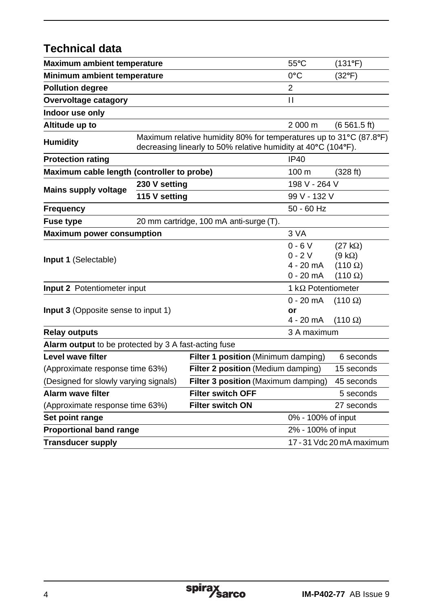## **Technical data**

| Maximum ambient temperature                           |               |                                                                                                                                     | $55^{\circ}$ C                                     | (131°F)                                                             |  |
|-------------------------------------------------------|---------------|-------------------------------------------------------------------------------------------------------------------------------------|----------------------------------------------------|---------------------------------------------------------------------|--|
| Minimum ambient temperature                           |               |                                                                                                                                     | $0^{\circ}$ C                                      | $(32^{\circ}F)$                                                     |  |
| <b>Pollution degree</b>                               |               |                                                                                                                                     | $\overline{2}$                                     |                                                                     |  |
| Overvoltage catagory                                  |               |                                                                                                                                     | $\mathbf{H}$                                       |                                                                     |  |
| Indoor use only                                       |               |                                                                                                                                     |                                                    |                                                                     |  |
| Altitude up to                                        |               |                                                                                                                                     | 2 000 m                                            | (6, 561.5, ft)                                                      |  |
| <b>Humidity</b>                                       |               | Maximum relative humidity 80% for temperatures up to 31°C (87.8°F)<br>decreasing linearly to 50% relative humidity at 40°C (104°F). |                                                    |                                                                     |  |
| <b>Protection rating</b>                              |               |                                                                                                                                     | IP40                                               |                                                                     |  |
| Maximum cable length (controller to probe)            |               | 100 <sub>m</sub>                                                                                                                    | (328 ft)                                           |                                                                     |  |
| <b>Mains supply voltage</b>                           | 230 V setting |                                                                                                                                     | 198 V - 264 V                                      |                                                                     |  |
|                                                       | 115 V setting |                                                                                                                                     | 99 V - 132 V                                       |                                                                     |  |
| <b>Frequency</b>                                      |               |                                                                                                                                     | $50 - 60$ Hz                                       |                                                                     |  |
| <b>Fuse type</b>                                      |               | 20 mm cartridge, 100 mA anti-surge (T).                                                                                             |                                                    |                                                                     |  |
| <b>Maximum power consumption</b>                      |               |                                                                                                                                     | 3 VA                                               |                                                                     |  |
| <b>Input 1 (Selectable)</b>                           |               |                                                                                                                                     | $0 - 6V$<br>$0 - 2V$<br>$4 - 20$ mA<br>$0 - 20$ mA | $(27 k\Omega)$<br>$(9 k\Omega)$<br>$(110 \Omega)$<br>$(110 \Omega)$ |  |
| Input 2 Potentiometer input                           |               |                                                                                                                                     |                                                    | 1 k $\Omega$ Potentiometer                                          |  |
| <b>Input 3</b> (Opposite sense to input 1)            |               |                                                                                                                                     | $0 - 20$ mA<br>or<br>4 - 20 mA                     | $(110 \Omega)$<br>$(110 \Omega)$                                    |  |
| <b>Relay outputs</b>                                  |               |                                                                                                                                     | 3 A maximum                                        |                                                                     |  |
| Alarm output to be protected by 3 A fast-acting fuse  |               |                                                                                                                                     |                                                    |                                                                     |  |
| Level wave filter                                     |               | Filter 1 position (Minimum damping)                                                                                                 |                                                    | 6 seconds                                                           |  |
| (Approximate response time 63%)                       |               | Filter 2 position (Medium damping)                                                                                                  |                                                    | 15 seconds                                                          |  |
| (Designed for slowly varying signals)                 |               | Filter 3 position (Maximum damping)                                                                                                 |                                                    | 45 seconds                                                          |  |
| Alarm wave filter                                     |               | <b>Filter switch OFF</b>                                                                                                            |                                                    | 5 seconds                                                           |  |
| (Approximate response time 63%)                       |               | <b>Filter switch ON</b>                                                                                                             |                                                    | 27 seconds                                                          |  |
| Set point range                                       |               |                                                                                                                                     | 0% - 100% of input                                 |                                                                     |  |
| <b>Proportional band range</b>                        |               |                                                                                                                                     | 2% - 100% of input                                 |                                                                     |  |
| 17 - 31 Vdc 20 mA maximum<br><b>Transducer supply</b> |               |                                                                                                                                     |                                                    |                                                                     |  |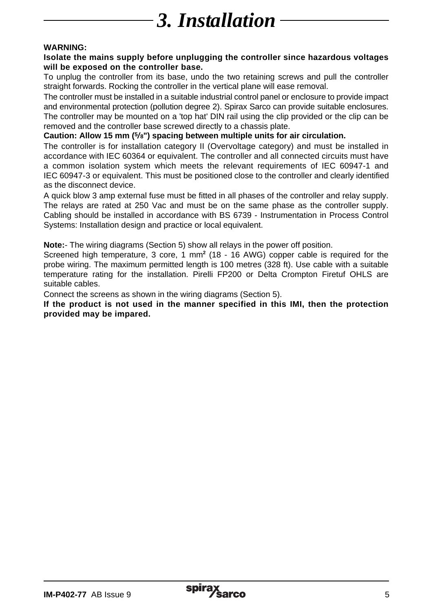# *3. Installation*

#### **WARNING:**

#### **Isolate the mains supply before unplugging the controller since hazardous voltages will be exposed on the controller base.**

To unplug the controller from its base, undo the two retaining screws and pull the controller straight forwards. Rocking the controller in the vertical plane will ease removal.

The controller must be installed in a suitable industrial control panel or enclosure to provide impact and environmental protection (pollution degree 2). Spirax Sarco can provide suitable enclosures. The controller may be mounted on a 'top hat' DIN rail using the clip provided or the clip can be removed and the controller base screwed directly to a chassis plate.

#### **Caution: Allow 15 mm (5/ 8") spacing between multiple units for air circulation.**

The controller is for installation category II (Overvoltage category) and must be installed in accordance with IEC 60364 or equivalent. The controller and all connected circuits must have a common isolation system which meets the relevant requirements of IEC 60947-1 and IEC 60947-3 or equivalent. This must be positioned close to the controller and clearly identified as the disconnect device.

A quick blow 3 amp external fuse must be fitted in all phases of the controller and relay supply. The relays are rated at 250 Vac and must be on the same phase as the controller supply. Cabling should be installed in accordance with BS 6739 - Instrumentation in Process Control Systems: Installation design and practice or local equivalent.

**Note:**- The wiring diagrams (Section 5) show all relays in the power off position.

Screened high temperature, 3 core, 1 mm**<sup>2</sup>** (18 - 16 AWG) copper cable is required for the probe wiring. The maximum permitted length is 100 metres (328 ft). Use cable with a suitable temperature rating for the installation. Pirelli FP200 or Delta Crompton Firetuf OHLS are suitable cables.

Connect the screens as shown in the wiring diagrams (Section 5).

**If the product is not used in the manner specified in this IMI, then the protection provided may be impared.**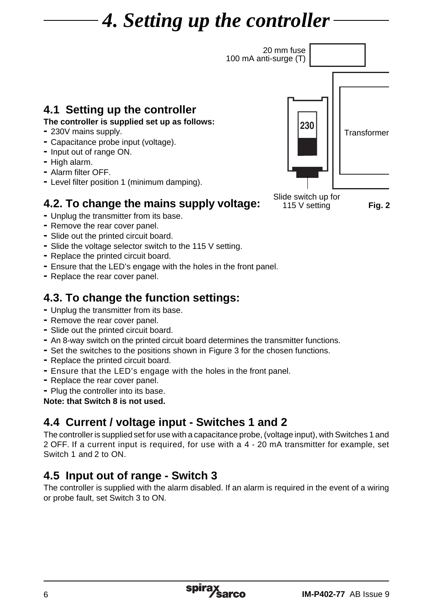# *4. Setting up the controller*



### **4.1 Setting up the controller The controller is supplied set up as follows:**

- **-** 230V mains supply.
- **-** Capacitance probe input (voltage).
- **-** Input out of range ON.
- **-** High alarm.
- **-** Alarm filter OFF.
- **-** Level filter position 1 (minimum damping).

## **4.2. To change the mains supply voltage:**

- **-** Unplug the transmitter from its base.
- **-** Remove the rear cover panel.
- **-** Slide out the printed circuit board.
- **-** Slide the voltage selector switch to the 115 V setting.
- **-** Replace the printed circuit board.
- **-** Ensure that the LED's engage with the holes in the front panel.
- **-** Replace the rear cover panel.

# **4.3. To change the function settings: -** Unplug the transmitter from its base.

- 
- **-** Remove the rear cover panel.
- **-** Slide out the printed circuit board.
- **-** An 8-way switch on the printed circuit board determines the transmitter functions.
- **-** Set the switches to the positions shown in Figure 3 for the chosen functions.
- **-** Replace the printed circuit board.
- **-** Ensure that the LED's engage with the holes in the front panel.
- **-** Replace the rear cover panel.
- **-** Plug the controller into its base.

**Note: that Switch 8 is not used.**

## **4.4 Current / voltage input - Switches 1 and 2**

The controller is supplied set for use with a capacitance probe, (voltage input), with Switches 1 and 2 OFF. If a current input is required, for use with a 4 - 20 mA transmitter for example, set Switch 1 and 2 to ON.

## **4.5 Input out of range - Switch 3**

The controller is supplied with the alarm disabled. If an alarm is required in the event of a wiring or probe fault, set Switch 3 to ON.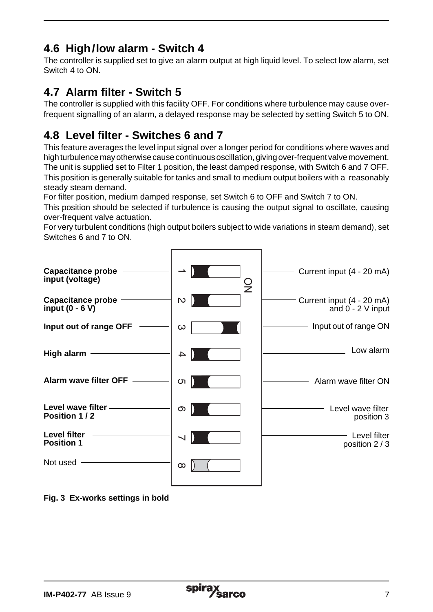## **4.6 High/low alarm - Switch 4**

The controller is supplied set to give an alarm output at high liquid level. To select low alarm, set Switch 4 to ON.

### **4.7 Alarm filter - Switch 5**

The controller is supplied with this facility OFF. For conditions where turbulence may cause overfrequent signalling of an alarm, a delayed response may be selected by setting Switch 5 to ON.

## **4.8 Level filter - Switches 6 and 7**

This feature averages the level input signal over a longer period for conditions where waves and high turbulence may otherwise cause continuous oscillation, giving over-frequent valve movement. The unit is supplied set to Filter 1 position, the least damped response, with Switch 6 and 7 OFF. This position is generally suitable for tanks and small to medium output boilers with a reasonably steady steam demand.

For filter position, medium damped response, set Switch 6 to OFF and Switch 7 to ON.

This position should be selected if turbulence is causing the output signal to oscillate, causing over-frequent valve actuation.

For very turbulent conditions (high output boilers subject to wide variations in steam demand), set Switches 6 and 7 to ON.



**Fig. 3 Ex-works settings in bold**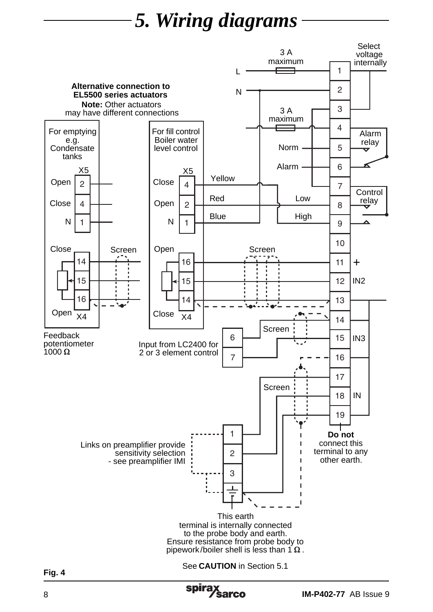# *5. Wiring diagrams*



**IM-P402-77** AB Issue 9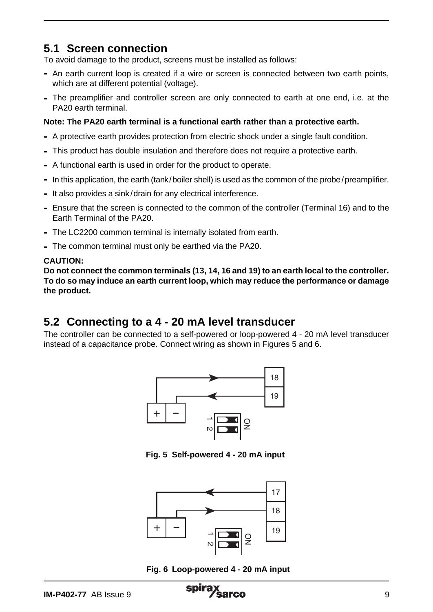### **5.1 Screen connection**

To avoid damage to the product, screens must be installed as follows:

- **-** An earth current loop is created if a wire or screen is connected between two earth points, which are at different potential (voltage).
- **-** The preamplifier and controller screen are only connected to earth at one end, i.e. at the PA20 earth terminal.

#### **Note: The PA20 earth terminal is a functional earth rather than a protective earth.**

- **-** A protective earth provides protection from electric shock under a single fault condition.
- **-** This product has double insulation and therefore does not require a protective earth.
- **-** A functional earth is used in order for the product to operate.
- **-** In this application, the earth (tank/boiler shell) is used as the common of the probe/preamplifier.
- **-** It also provides a sink/drain for any electrical interference.
- **-** Ensure that the screen is connected to the common of the controller (Terminal 16) and to the Earth Terminal of the PA20.
- **-** The LC2200 common terminal is internally isolated from earth.
- **-** The common terminal must only be earthed via the PA20.

#### **CAUTION:**

**Do not connect the common terminals (13, 14, 16 and 19) to an earth local to the controller. To do so may induce an earth current loop, which may reduce the performance or damage the product.**

### **5.2 Connecting to a 4 - 20 mA level transducer**

The controller can be connected to a self-powered or loop-powered 4 - 20 mA level transducer instead of a capacitance probe. Connect wiring as shown in Figures 5 and 6.



**Fig. 5 Self-powered 4 - 20 mA input**



**Fig. 6 Loop-powered 4 - 20 mA input**

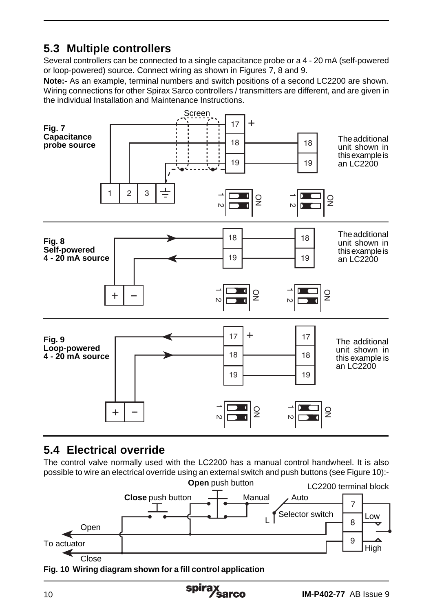## **5.3 Multiple controllers**

Several controllers can be connected to a single capacitance probe or a 4 - 20 mA (self-powered or loop-powered) source. Connect wiring as shown in Figures 7, 8 and 9.

**Note:-** As an example, terminal numbers and switch positions of a second LC2200 are shown. Wiring connections for other Spirax Sarco controllers / transmitters are different, and are given in the individual Installation and Maintenance Instructions.



## **5.4 Electrical override**

The control valve normally used with the LC2200 has a manual control handwheel. It is also possible to wire an electrical override using an external switch and push buttons (see Figure 10):-



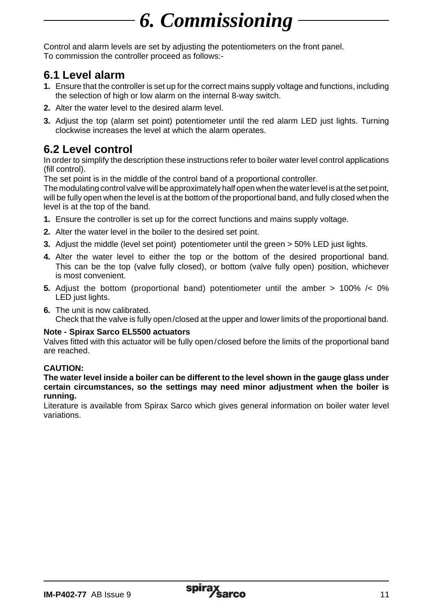# *6. Commissioning*

Control and alarm levels are set by adjusting the potentiometers on the front panel. To commission the controller proceed as follows:-

### **6.1 Level alarm**

- **1.** Ensure that the controller is set up for the correct mains supply voltage and functions, including the selection of high or low alarm on the internal 8-way switch.
- **2.** Alter the water level to the desired alarm level.
- **3.** Adjust the top (alarm set point) potentiometer until the red alarm LED just lights. Turning clockwise increases the level at which the alarm operates.

## **6.2 Level control**

In order to simplify the description these instructions refer to boiler water level control applications (fill control).

The set point is in the middle of the control band of a proportional controller.

The modulating control valve will be approximately half open when the water level is at the set point, will be fully open when the level is at the bottom of the proportional band, and fully closed when the level is at the top of the band.

- **1.** Ensure the controller is set up for the correct functions and mains supply voltage.
- **2.** Alter the water level in the boiler to the desired set point.
- **3.** Adjust the middle (level set point) potentiometer until the green > 50% LED just lights.
- **4.** Alter the water level to either the top or the bottom of the desired proportional band. This can be the top (valve fully closed), or bottom (valve fully open) position, whichever is most convenient.
- **5.** Adjust the bottom (proportional band) potentiometer until the amber > 100% /< 0% LED just lights.
- **6.** The unit is now calibrated. Check that the valve is fully open/closed at the upper and lower limits of the proportional band.

### **Note - Spirax Sarco EL5500 actuators**

Valves fitted with this actuator will be fully open/closed before the limits of the proportional band are reached.

### **CAUTION:**

**The water level inside a boiler can be different to the level shown in the gauge glass under certain circumstances, so the settings may need minor adjustment when the boiler is running.**

Literature is available from Spirax Sarco which gives general information on boiler water level variations.